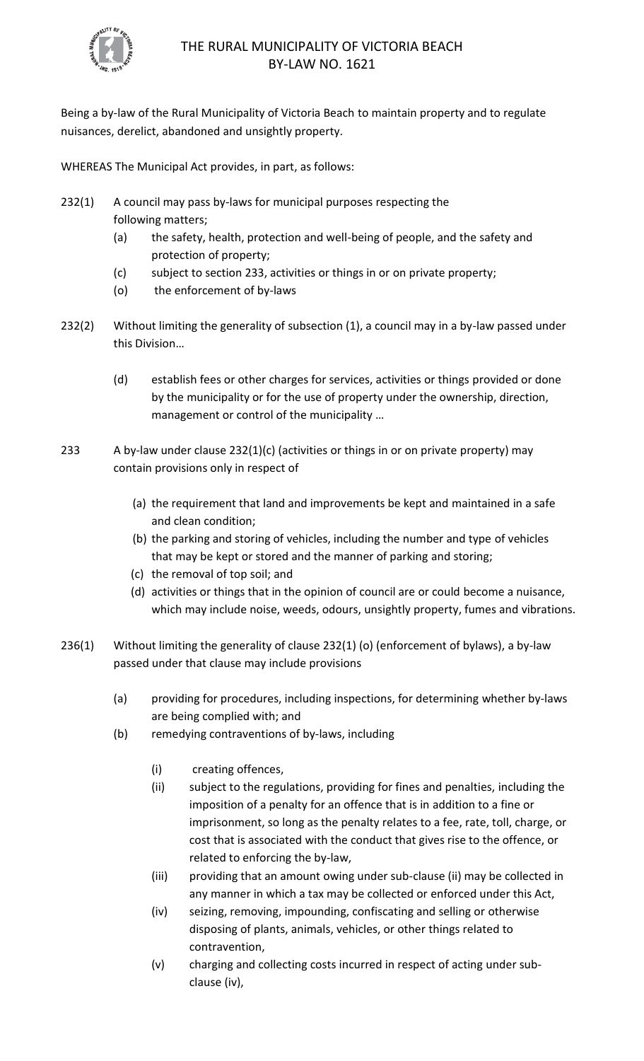

# THE RURAL MUNICIPALITY OF VICTORIA BEACH BY-LAW NO. 1621

Being a by-law of the Rural Municipality of Victoria Beach to maintain property and to regulate nuisances, derelict, abandoned and unsightly property.

WHEREAS The Municipal Act provides, in part, as follows:

- 232(1) A council may pass by-laws for municipal purposes respecting the following matters;
	- (a) the safety, health, protection and well-being of people, and the safety and protection of property;
	- (c) subject to section 233, activities or things in or on private property;
	- (o) the enforcement of by-laws
- 232(2) Without limiting the generality of subsection (1), a council may in a by-law passed under this Division…
	- (d) establish fees or other charges for services, activities or things provided or done by the municipality or for the use of property under the ownership, direction, management or control of the municipality …
- 233 A by-law under clause 232(1)(c) (activities or things in or on private property) may contain provisions only in respect of
	- (a) the requirement that land and improvements be kept and maintained in a safe and clean condition;
	- (b) the parking and storing of vehicles, including the number and type of vehicles that may be kept or stored and the manner of parking and storing;
	- (c) the removal of top soil; and
	- (d) activities or things that in the opinion of council are or could become a nuisance, which may include noise, weeds, odours, unsightly property, fumes and vibrations.
- 236(1) Without limiting the generality of clause 232(1) (o) (enforcement of bylaws), a by-law passed under that clause may include provisions
	- (a) providing for procedures, including inspections, for determining whether by-laws are being complied with; and
	- (b) remedying contraventions of by-laws, including
		- (i) creating offences,
		- (ii) subject to the regulations, providing for fines and penalties, including the imposition of a penalty for an offence that is in addition to a fine or imprisonment, so long as the penalty relates to a fee, rate, toll, charge, or cost that is associated with the conduct that gives rise to the offence, or related to enforcing the by-law,
		- (iii) providing that an amount owing under sub-clause (ii) may be collected in any manner in which a tax may be collected or enforced under this Act,
		- (iv) seizing, removing, impounding, confiscating and selling or otherwise disposing of plants, animals, vehicles, or other things related to contravention,
		- (v) charging and collecting costs incurred in respect of acting under subclause (iv),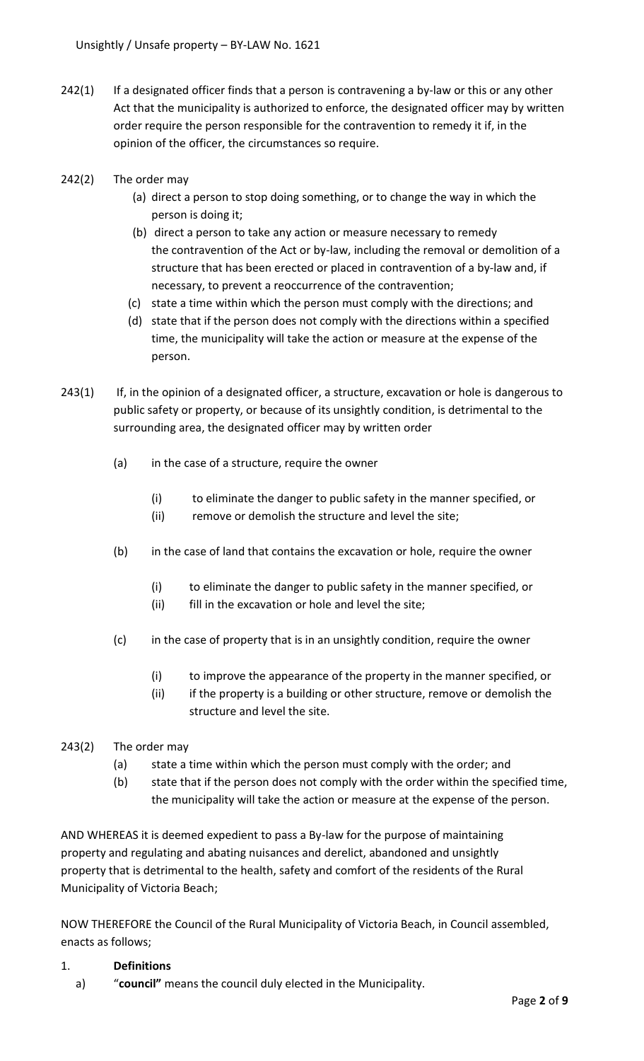- 242(1) If a designated officer finds that a person is contravening a by-law or this or any other Act that the municipality is authorized to enforce, the designated officer may by written order require the person responsible for the contravention to remedy it if, in the opinion of the officer, the circumstances so require.
- 242(2) The order may
	- (a) direct a person to stop doing something, or to change the way in which the person is doing it;
	- (b) direct a person to take any action or measure necessary to remedy the contravention of the Act or by-law, including the removal or demolition of a structure that has been erected or placed in contravention of a by-law and, if necessary, to prevent a reoccurrence of the contravention;
	- (c) state a time within which the person must comply with the directions; and
	- (d) state that if the person does not comply with the directions within a specified time, the municipality will take the action or measure at the expense of the person.
- 243(1) If, in the opinion of a designated officer, a structure, excavation or hole is dangerous to public safety or property, or because of its unsightly condition, is detrimental to the surrounding area, the designated officer may by written order
	- (a) in the case of a structure, require the owner
		- (i) to eliminate the danger to public safety in the manner specified, or
		- (ii) remove or demolish the structure and level the site;
	- (b) in the case of land that contains the excavation or hole, require the owner
		- (i) to eliminate the danger to public safety in the manner specified, or
		- (ii) fill in the excavation or hole and level the site;
	- (c) in the case of property that is in an unsightly condition, require the owner
		- (i) to improve the appearance of the property in the manner specified, or
		- (ii) if the property is a building or other structure, remove or demolish the structure and level the site.
- 243(2) The order may
	- (a) state a time within which the person must comply with the order; and
	- (b) state that if the person does not comply with the order within the specified time, the municipality will take the action or measure at the expense of the person.

AND WHEREAS it is deemed expedient to pass a By-law for the purpose of maintaining property and regulating and abating nuisances and derelict, abandoned and unsightly property that is detrimental to the health, safety and comfort of the residents of the Rural Municipality of Victoria Beach;

NOW THEREFORE the Council of the Rural Municipality of Victoria Beach, in Council assembled, enacts as follows;

#### 1. **Definitions**

a) "**council"** means the council duly elected in the Municipality.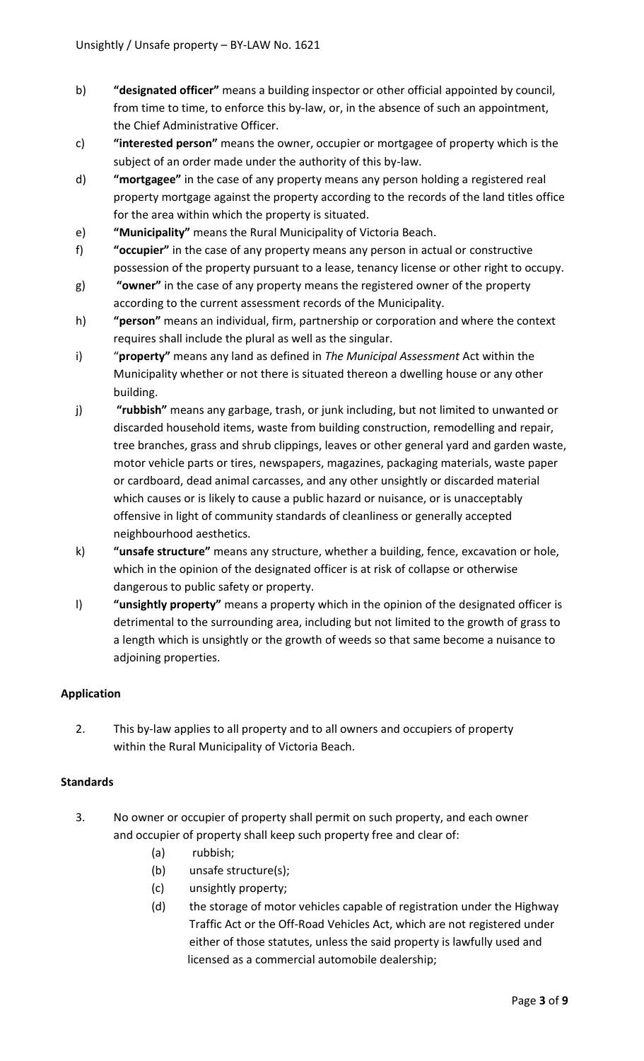- b) **"designated officer"** means a building inspector or other official appointed by council, from time to time, to enforce this by-law, or, in the absence of such an appointment, the Chief Administrative Officer.
- c) **"interested person"** means the owner, occupier or mortgagee of property which is the subject of an order made under the authority of this by-law.
- d) **"mortgagee"** in the case of any property means any person holding a registered real property mortgage against the property according to the records of the land titles office for the area within which the property is situated.
- e) **"Municipality"** means the Rural Municipality of Victoria Beach.
- f) **"occupier"** in the case of any property means any person in actual or constructive possession of the property pursuant to a lease, tenancy license or other right to occupy.
- g) **"owner"** in the case of any property means the registered owner of the property according to the current assessment records of the Municipality.
- h) **"person"** means an individual, firm, partnership or corporation and where the context requires shall include the plural as well as the singular.
- i) "**property"** means any land as defined in *The Municipal Assessment* Act within the Municipality whether or not there is situated thereon a dwelling house or any other building.
- j) **"rubbish"** means any garbage, trash, or junk including, but not limited to unwanted or discarded household items, waste from building construction, remodelling and repair, tree branches, grass and shrub clippings, leaves or other general yard and garden waste, motor vehicle parts or tires, newspapers, magazines, packaging materials, waste paper or cardboard, dead animal carcasses, and any other unsightly or discarded material which causes or is likely to cause a public hazard or nuisance, or is unacceptably offensive in light of community standards of cleanliness or generally accepted neighbourhood aesthetics.
- k) **"unsafe structure"** means any structure, whether a building, fence, excavation or hole, which in the opinion of the designated officer is at risk of collapse or otherwise dangerous to public safety or property.
- l) **"unsightly property"** means a property which in the opinion of the designated officer is detrimental to the surrounding area, including but not limited to the growth of grass to a length which is unsightly or the growth of weeds so that same become a nuisance to adjoining properties.

# **Application**

2. This by-law applies to all property and to all owners and occupiers of property within the Rural Municipality of Victoria Beach.

# **Standards**

- 3. No owner or occupier of property shall permit on such property, and each owner and occupier of property shall keep such property free and clear of:
	- (a) rubbish;
	- (b) unsafe structure(s);
	- (c) unsightly property;
	- (d) the storage of motor vehicles capable of registration under the Highway Traffic Act or the Off-Road Vehicles Act, which are not registered under either of those statutes, unless the said property is lawfully used and licensed as a commercial automobile dealership;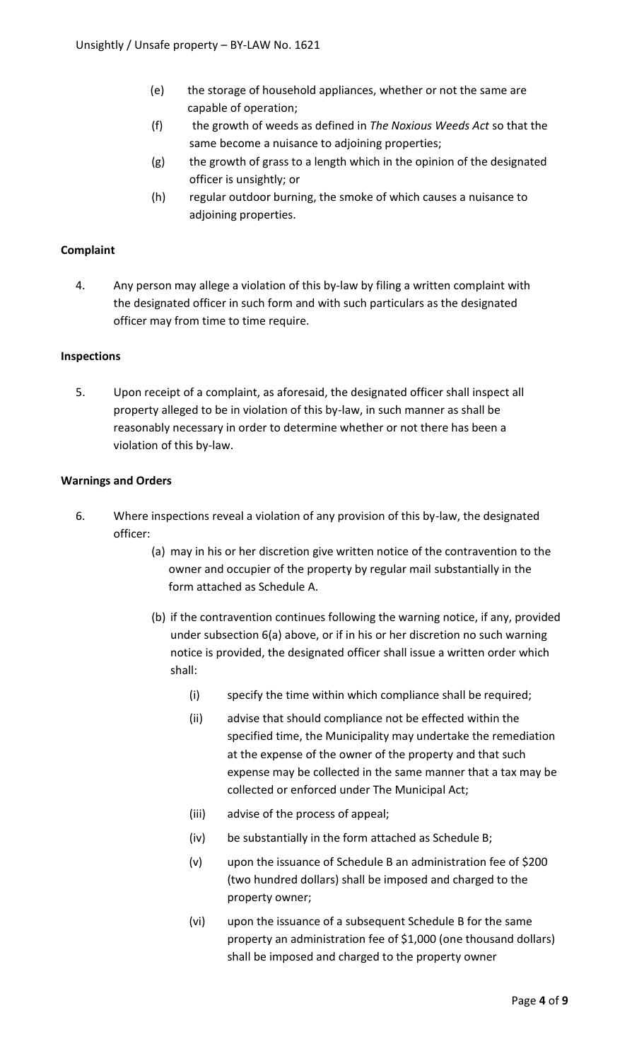- (e) the storage of household appliances, whether or not the same are capable of operation;
- (f) the growth of weeds as defined in *The Noxious Weeds Act* so that the same become a nuisance to adjoining properties;
- (g) the growth of grass to a length which in the opinion of the designated officer is unsightly; or
- (h) regular outdoor burning, the smoke of which causes a nuisance to adjoining properties.

# **Complaint**

4. Any person may allege a violation of this by-law by filing a written complaint with the designated officer in such form and with such particulars as the designated officer may from time to time require.

#### **Inspections**

5. Upon receipt of a complaint, as aforesaid, the designated officer shall inspect all property alleged to be in violation of this by-law, in such manner as shall be reasonably necessary in order to determine whether or not there has been a violation of this by-law.

## **Warnings and Orders**

- 6. Where inspections reveal a violation of any provision of this by-law, the designated officer:
	- (a) may in his or her discretion give written notice of the contravention to the owner and occupier of the property by regular mail substantially in the form attached as Schedule A.
	- (b) if the contravention continues following the warning notice, if any, provided under subsection 6(a) above, or if in his or her discretion no such warning notice is provided, the designated officer shall issue a written order which shall:
		- (i) specify the time within which compliance shall be required;
		- (ii) advise that should compliance not be effected within the specified time, the Municipality may undertake the remediation at the expense of the owner of the property and that such expense may be collected in the same manner that a tax may be collected or enforced under The Municipal Act;
		- (iii) advise of the process of appeal;
		- (iv) be substantially in the form attached as Schedule B;
		- (v) upon the issuance of Schedule B an administration fee of \$200 (two hundred dollars) shall be imposed and charged to the property owner;
		- (vi) upon the issuance of a subsequent Schedule B for the same property an administration fee of \$1,000 (one thousand dollars) shall be imposed and charged to the property owner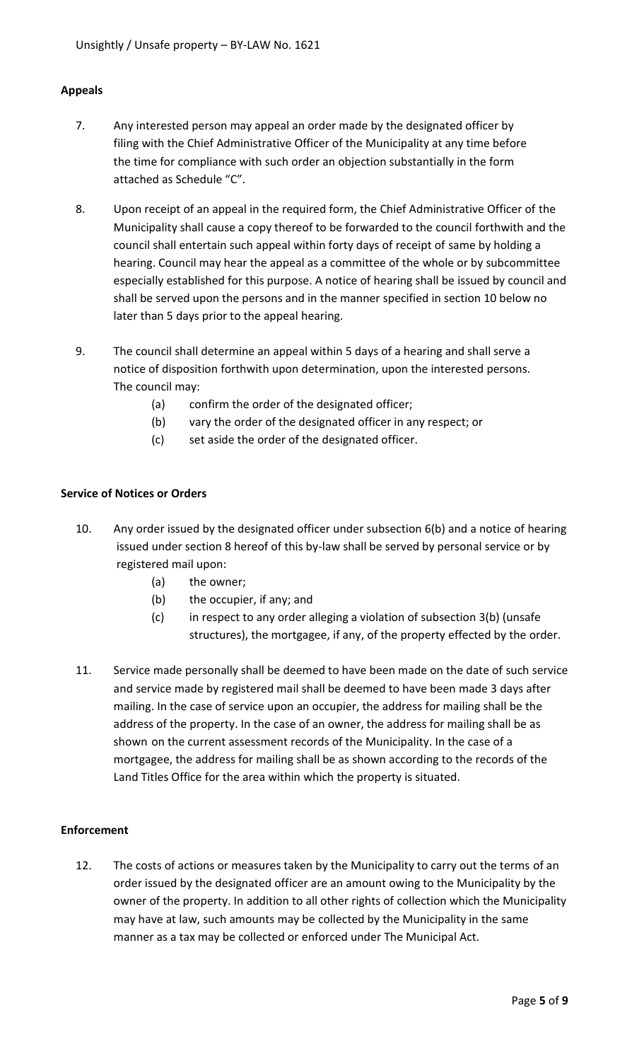## **Appeals**

- 7. Any interested person may appeal an order made by the designated officer by filing with the Chief Administrative Officer of the Municipality at any time before the time for compliance with such order an objection substantially in the form attached as Schedule "C".
- 8. Upon receipt of an appeal in the required form, the Chief Administrative Officer of the Municipality shall cause a copy thereof to be forwarded to the council forthwith and the council shall entertain such appeal within forty days of receipt of same by holding a hearing. Council may hear the appeal as a committee of the whole or by subcommittee especially established for this purpose. A notice of hearing shall be issued by council and shall be served upon the persons and in the manner specified in section 10 below no later than 5 days prior to the appeal hearing.
- 9. The council shall determine an appeal within 5 days of a hearing and shall serve a notice of disposition forthwith upon determination, upon the interested persons. The council may:
	- (a) confirm the order of the designated officer;
	- (b) vary the order of the designated officer in any respect; or
	- (c) set aside the order of the designated officer.

## **Service of Notices or Orders**

- 10. Any order issued by the designated officer under subsection 6(b) and a notice of hearing issued under section 8 hereof of this by-law shall be served by personal service or by registered mail upon:
	- (a) the owner;
	- (b) the occupier, if any; and
	- (c) in respect to any order alleging a violation of subsection 3(b) (unsafe structures), the mortgagee, if any, of the property effected by the order.
- 11. Service made personally shall be deemed to have been made on the date of such service and service made by registered mail shall be deemed to have been made 3 days after mailing. In the case of service upon an occupier, the address for mailing shall be the address of the property. In the case of an owner, the address for mailing shall be as shown on the current assessment records of the Municipality. In the case of a mortgagee, the address for mailing shall be as shown according to the records of the Land Titles Office for the area within which the property is situated.

#### **Enforcement**

12. The costs of actions or measures taken by the Municipality to carry out the terms of an order issued by the designated officer are an amount owing to the Municipality by the owner of the property. In addition to all other rights of collection which the Municipality may have at law, such amounts may be collected by the Municipality in the same manner as a tax may be collected or enforced under The Municipal Act.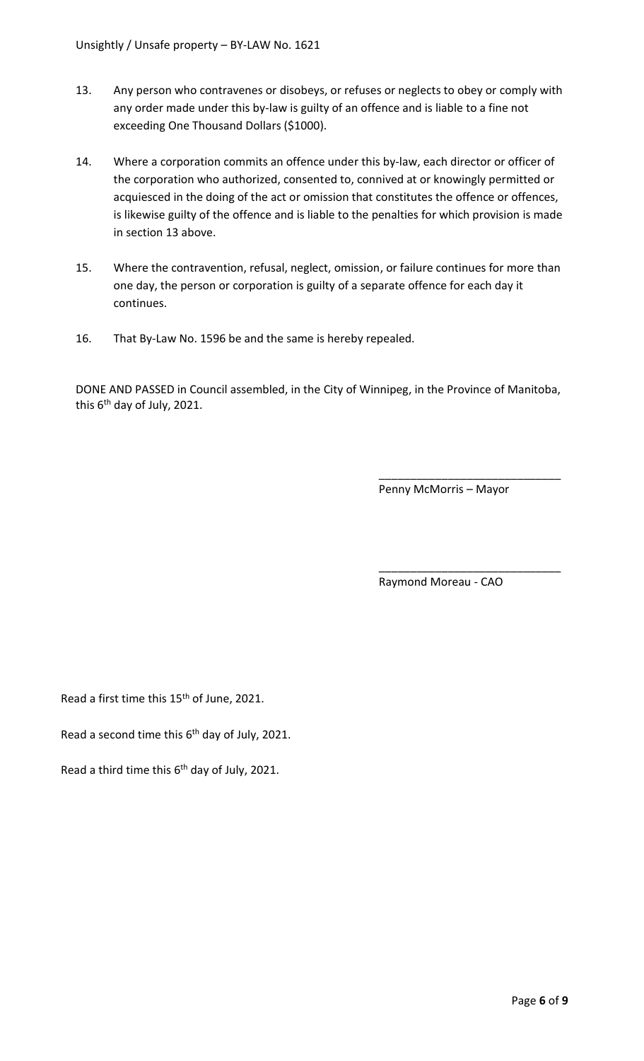- 13. Any person who contravenes or disobeys, or refuses or neglects to obey or comply with any order made under this by-law is guilty of an offence and is liable to a fine not exceeding One Thousand Dollars (\$1000).
- 14. Where a corporation commits an offence under this by-law, each director or officer of the corporation who authorized, consented to, connived at or knowingly permitted or acquiesced in the doing of the act or omission that constitutes the offence or offences, is likewise guilty of the offence and is liable to the penalties for which provision is made in section 13 above.
- 15. Where the contravention, refusal, neglect, omission, or failure continues for more than one day, the person or corporation is guilty of a separate offence for each day it continues.
- 16. That By-Law No. 1596 be and the same is hereby repealed.

DONE AND PASSED in Council assembled, in the City of Winnipeg, in the Province of Manitoba, this 6<sup>th</sup> day of July, 2021.

Penny McMorris – Mayor

\_\_\_\_\_\_\_\_\_\_\_\_\_\_\_\_\_\_\_\_\_\_\_\_\_\_\_\_\_

\_\_\_\_\_\_\_\_\_\_\_\_\_\_\_\_\_\_\_\_\_\_\_\_\_\_\_\_\_

Raymond Moreau - CAO

Read a first time this 15<sup>th</sup> of June, 2021.

Read a second time this  $6<sup>th</sup>$  day of July, 2021.

Read a third time this  $6<sup>th</sup>$  day of July, 2021.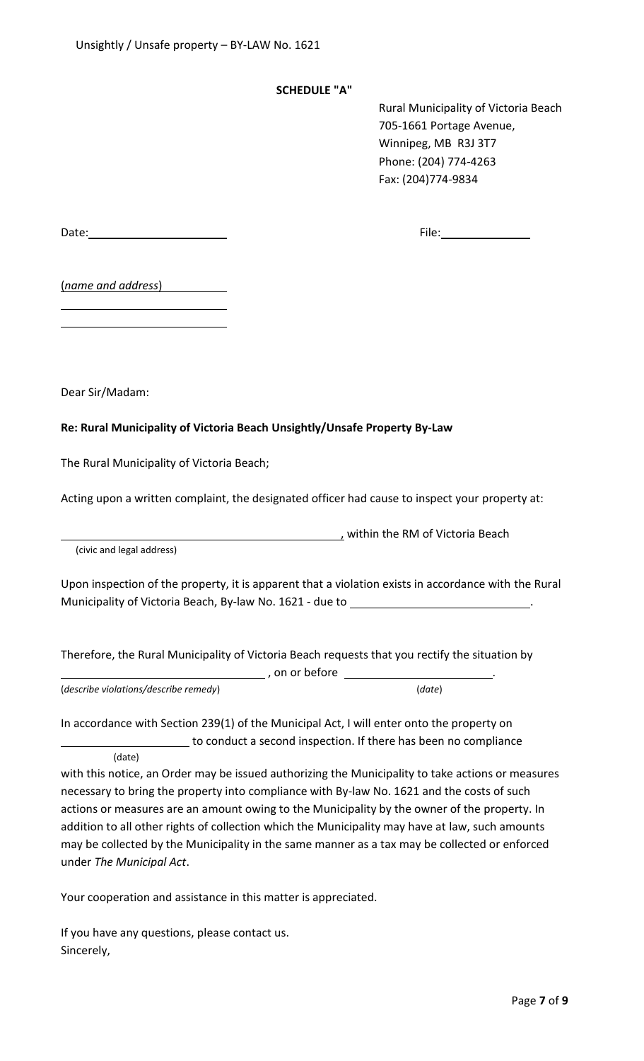## **SCHEDULE "A"**

Rural Municipality of Victoria Beach 705-1661 Portage Avenue, Winnipeg, MB R3J 3T7 Phone: (204) 774-4263 Fax: (204)774-9834

Date: File:

(*name and address*)

Dear Sir/Madam:

# **Re: Rural Municipality of Victoria Beach Unsightly/Unsafe Property By-Law**

The Rural Municipality of Victoria Beach;

Acting upon a written complaint, the designated officer had cause to inspect your property at:

(civic and legal address)

Upon inspection of the property, it is apparent that a violation exists in accordance with the Rural Municipality of Victoria Beach, By-law No. 1621 - due to \_\_\_\_

**Marson Contract Contract Contract Contract Contract Contract Contract Contract Contract Contract Contract Contr** 

within the RM of Victoria Beach

Therefore, the Rural Municipality of Victoria Beach requests that you rectify the situation by

(*describe violations/describe remedy*) (*date*)

In accordance with Section 239(1) of the Municipal Act, I will enter onto the property on to conduct a second inspection. If there has been no compliance

(date)

with this notice, an Order may be issued authorizing the Municipality to take actions or measures necessary to bring the property into compliance with By-law No. 1621 and the costs of such actions or measures are an amount owing to the Municipality by the owner of the property. In addition to all other rights of collection which the Municipality may have at law, such amounts may be collected by the Municipality in the same manner as a tax may be collected or enforced under *The Municipal Act*.

Your cooperation and assistance in this matter is appreciated.

If you have any questions, please contact us. Sincerely,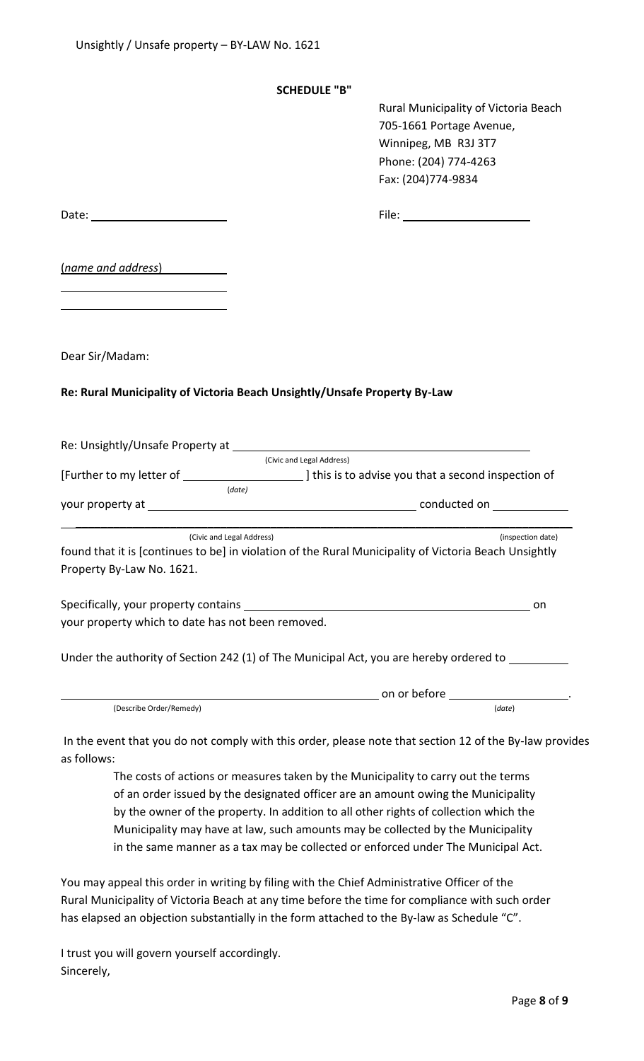#### **SCHEDULE "B"**

Rural Municipality of Victoria Beach 705-1661 Portage Avenue, Winnipeg, MB R3J 3T7 Phone: (204) 774-4263 Fax: (204)774-9834

| (name and address)                                |                                                                                                                                                         |
|---------------------------------------------------|---------------------------------------------------------------------------------------------------------------------------------------------------------|
| Dear Sir/Madam:                                   |                                                                                                                                                         |
|                                                   | Re: Rural Municipality of Victoria Beach Unsightly/Unsafe Property By-Law                                                                               |
|                                                   | Re: Unsightly/Unsafe Property at Manual Annual Account of the United States and Account of the United States and<br>(Civic and Legal Address)           |
|                                                   |                                                                                                                                                         |
|                                                   | (date)                                                                                                                                                  |
| Property By-Law No. 1621.                         | (inspection date)<br>(Civic and Legal Address)<br>found that it is [continues to be] in violation of the Rural Municipality of Victoria Beach Unsightly |
| your property which to date has not been removed. | on o                                                                                                                                                    |
|                                                   | Under the authority of Section 242 (1) of The Municipal Act, you are hereby ordered to ________                                                         |
|                                                   |                                                                                                                                                         |
| (Describe Order/Remedy)                           | (date)                                                                                                                                                  |
|                                                   |                                                                                                                                                         |

In the event that you do not comply with this order, please note that section 12 of the By-law provides as follows:

The costs of actions or measures taken by the Municipality to carry out the terms of an order issued by the designated officer are an amount owing the Municipality by the owner of the property. In addition to all other rights of collection which the Municipality may have at law, such amounts may be collected by the Municipality in the same manner as a tax may be collected or enforced under The Municipal Act.

You may appeal this order in writing by filing with the Chief Administrative Officer of the Rural Municipality of Victoria Beach at any time before the time for compliance with such order has elapsed an objection substantially in the form attached to the By-law as Schedule "C".

I trust you will govern yourself accordingly. Sincerely,